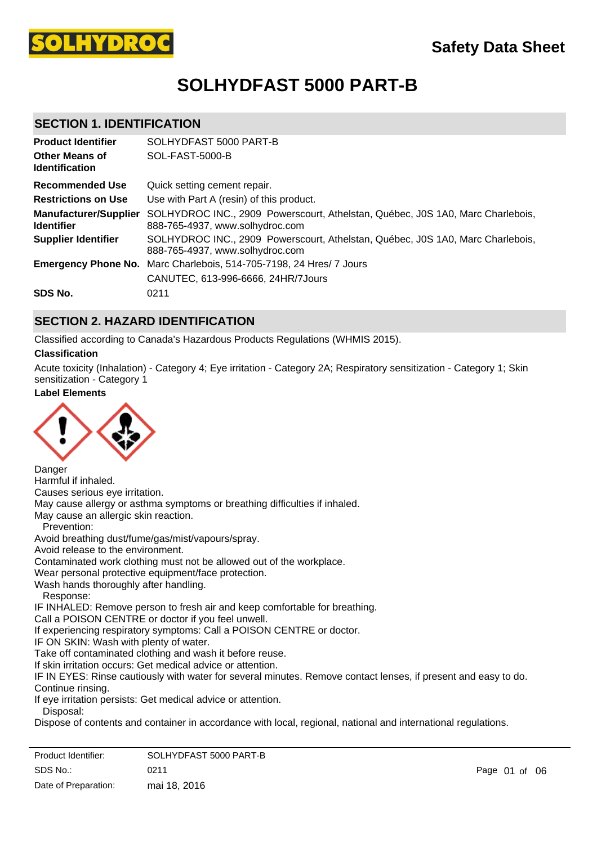

# **SOLHYDFAST 5000 PART-B**

# **SECTION 1. IDENTIFICATION**

| <b>Product Identifier</b>                         | SOLHYDFAST 5000 PART-B                                                                                            |
|---------------------------------------------------|-------------------------------------------------------------------------------------------------------------------|
| <b>Other Means of</b><br><b>Identification</b>    | SOL-FAST-5000-B                                                                                                   |
| <b>Recommended Use</b>                            | Quick setting cement repair.                                                                                      |
| <b>Restrictions on Use</b>                        | Use with Part A (resin) of this product.                                                                          |
| <b>Manufacturer/Supplier</b><br><b>Identifier</b> | SOLHYDROC INC., 2909 Powerscourt, Athelstan, Québec, J0S 1A0, Marc Charlebois,<br>888-765-4937, www.solhydroc.com |
| <b>Supplier Identifier</b>                        | SOLHYDROC INC., 2909 Powerscourt, Athelstan, Québec, J0S 1A0, Marc Charlebois,<br>888-765-4937, www.solhydroc.com |
|                                                   | <b>Emergency Phone No.</b> Marc Charlebois, 514-705-7198, 24 Hres/ 7 Jours<br>CANUTEC, 613-996-6666, 24HR/7Jours  |
| SDS No.                                           | 0211                                                                                                              |

### **SECTION 2. HAZARD IDENTIFICATION**

Classified according to Canada's Hazardous Products Regulations (WHMIS 2015).

#### **Classification**

Acute toxicity (Inhalation) - Category 4; Eye irritation - Category 2A; Respiratory sensitization - Category 1; Skin sensitization - Category 1

# **Label Elements**



Danger Harmful if inhaled. Causes serious eye irritation. May cause allergy or asthma symptoms or breathing difficulties if inhaled. May cause an allergic skin reaction. Prevention: Avoid breathing dust/fume/gas/mist/vapours/spray. Avoid release to the environment. Contaminated work clothing must not be allowed out of the workplace. Wear personal protective equipment/face protection. Wash hands thoroughly after handling. Response: IF INHALED: Remove person to fresh air and keep comfortable for breathing. Call a POISON CENTRE or doctor if you feel unwell. If experiencing respiratory symptoms: Call a POISON CENTRE or doctor. IF ON SKIN: Wash with plenty of water. Take off contaminated clothing and wash it before reuse. If skin irritation occurs: Get medical advice or attention. IF IN EYES: Rinse cautiously with water for several minutes. Remove contact lenses, if present and easy to do. Continue rinsing. If eye irritation persists: Get medical advice or attention. Disposal:

Dispose of contents and container in accordance with local, regional, national and international regulations.

| Product Identifier:  | SOLHYDFAST 5000 PART-B |
|----------------------|------------------------|
| SDS No.:             | 0211                   |
| Date of Preparation: | mai 18, 2016           |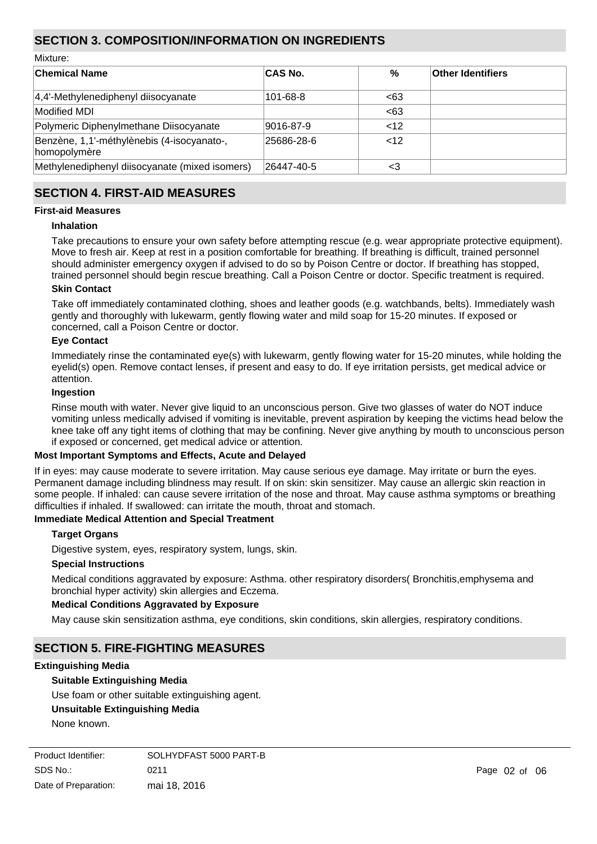# **SECTION 3. COMPOSITION/INFORMATION ON INGREDIENTS**

Mixture:

| <b>Chemical Name</b>                                       | <b>CAS No.</b> | $\%$   | <b>Other Identifiers</b> |
|------------------------------------------------------------|----------------|--------|--------------------------|
| 4,4'-Methylenediphenyl diisocyanate                        | $101 - 68 - 8$ | <63    |                          |
| Modified MDI                                               |                | <63    |                          |
| Polymeric Diphenylmethane Diisocyanate                     | 9016-87-9      | $<$ 12 |                          |
| Benzène, 1,1'-méthylènebis (4-isocyanato-,<br>homopolymère | 25686-28-6     | $<$ 12 |                          |
| Methylenediphenyl diisocyanate (mixed isomers)             | 26447-40-5     | <3     |                          |

# **SECTION 4. FIRST-AID MEASURES**

#### **First-aid Measures**

#### **Inhalation**

Take precautions to ensure your own safety before attempting rescue (e.g. wear appropriate protective equipment). Move to fresh air. Keep at rest in a position comfortable for breathing. If breathing is difficult, trained personnel should administer emergency oxygen if advised to do so by Poison Centre or doctor. If breathing has stopped, trained personnel should begin rescue breathing. Call a Poison Centre or doctor. Specific treatment is required.

#### **Skin Contact**

Take off immediately contaminated clothing, shoes and leather goods (e.g. watchbands, belts). Immediately wash gently and thoroughly with lukewarm, gently flowing water and mild soap for 15-20 minutes. If exposed or concerned, call a Poison Centre or doctor.

#### **Eye Contact**

Immediately rinse the contaminated eye(s) with lukewarm, gently flowing water for 15-20 minutes, while holding the eyelid(s) open. Remove contact lenses, if present and easy to do. If eye irritation persists, get medical advice or attention.

#### **Ingestion**

Rinse mouth with water. Never give liquid to an unconscious person. Give two glasses of water do NOT induce vomiting unless medically advised if vomiting is inevitable, prevent aspiration by keeping the victims head below the knee take off any tight items of clothing that may be confining. Never give anything by mouth to unconscious person if exposed or concerned, get medical advice or attention.

#### **Most Important Symptoms and Effects, Acute and Delayed**

If in eyes: may cause moderate to severe irritation. May cause serious eye damage. May irritate or burn the eyes. Permanent damage including blindness may result. If on skin: skin sensitizer. May cause an allergic skin reaction in some people. If inhaled: can cause severe irritation of the nose and throat. May cause asthma symptoms or breathing difficulties if inhaled. If swallowed: can irritate the mouth, throat and stomach.

### **Immediate Medical Attention and Special Treatment**

#### **Target Organs**

Digestive system, eyes, respiratory system, lungs, skin.

#### **Special Instructions**

Medical conditions aggravated by exposure: Asthma. other respiratory disorders( Bronchitis,emphysema and bronchial hyper activity) skin allergies and Eczema.

#### **Medical Conditions Aggravated by Exposure**

May cause skin sensitization asthma, eye conditions, skin conditions, skin allergies, respiratory conditions.

### **SECTION 5. FIRE-FIGHTING MEASURES**

### **Extinguishing Media**

#### **Suitable Extinguishing Media**

Use foam or other suitable extinguishing agent.

#### **Unsuitable Extinguishing Media**

None known.

| Product Identifier:  | SOLHYDFAST 5000 PART-B |
|----------------------|------------------------|
| SDS No.:             | 0211                   |
| Date of Preparation: | mai 18, 2016           |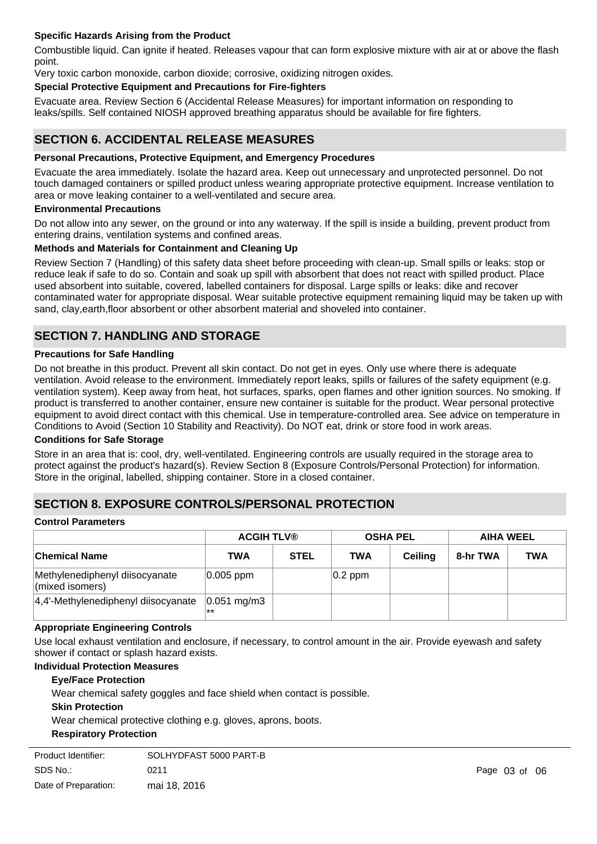### **Specific Hazards Arising from the Product**

Combustible liquid. Can ignite if heated. Releases vapour that can form explosive mixture with air at or above the flash point.

Very toxic carbon monoxide, carbon dioxide; corrosive, oxidizing nitrogen oxides.

### **Special Protective Equipment and Precautions for Fire-fighters**

Evacuate area. Review Section 6 (Accidental Release Measures) for important information on responding to leaks/spills. Self contained NIOSH approved breathing apparatus should be available for fire fighters.

# **SECTION 6. ACCIDENTAL RELEASE MEASURES**

#### **Personal Precautions, Protective Equipment, and Emergency Procedures**

Evacuate the area immediately. Isolate the hazard area. Keep out unnecessary and unprotected personnel. Do not touch damaged containers or spilled product unless wearing appropriate protective equipment. Increase ventilation to area or move leaking container to a well-ventilated and secure area.

#### **Environmental Precautions**

Do not allow into any sewer, on the ground or into any waterway. If the spill is inside a building, prevent product from entering drains, ventilation systems and confined areas.

#### **Methods and Materials for Containment and Cleaning Up**

Review Section 7 (Handling) of this safety data sheet before proceeding with clean-up. Small spills or leaks: stop or reduce leak if safe to do so. Contain and soak up spill with absorbent that does not react with spilled product. Place used absorbent into suitable, covered, labelled containers for disposal. Large spills or leaks: dike and recover contaminated water for appropriate disposal. Wear suitable protective equipment remaining liquid may be taken up with sand, clay,earth,floor absorbent or other absorbent material and shoveled into container.

# **SECTION 7. HANDLING AND STORAGE**

### **Precautions for Safe Handling**

Do not breathe in this product. Prevent all skin contact. Do not get in eyes. Only use where there is adequate ventilation. Avoid release to the environment. Immediately report leaks, spills or failures of the safety equipment (e.g. ventilation system). Keep away from heat, hot surfaces, sparks, open flames and other ignition sources. No smoking. If product is transferred to another container, ensure new container is suitable for the product. Wear personal protective equipment to avoid direct contact with this chemical. Use in temperature-controlled area. See advice on temperature in Conditions to Avoid (Section 10 Stability and Reactivity). Do NOT eat, drink or store food in work areas.

#### **Conditions for Safe Storage**

Store in an area that is: cool, dry, well-ventilated. Engineering controls are usually required in the storage area to protect against the product's hazard(s). Review Section 8 (Exposure Controls/Personal Protection) for information. Store in the original, labelled, shipping container. Store in a closed container.

### **SECTION 8. EXPOSURE CONTROLS/PERSONAL PROTECTION**

#### **Control Parameters**

|                                                   | <b>ACGIH TLV®</b>             |             |            | <b>OSHA PEL</b> |          | <b>AIHA WEEL</b> |
|---------------------------------------------------|-------------------------------|-------------|------------|-----------------|----------|------------------|
| <b>Chemical Name</b>                              | <b>TWA</b>                    | <b>STEL</b> | TWA        | <b>Ceiling</b>  | 8-hr TWA | <b>TWA</b>       |
| Methylenediphenyl diisocyanate<br>(mixed isomers) | $ 0.005 $ ppm                 |             | $ 0.2$ ppm |                 |          |                  |
| 4,4'-Methylenediphenyl diisocyanate               | $ 0.051 \text{ mg/m}3$<br> ** |             |            |                 |          |                  |

#### **Appropriate Engineering Controls**

Use local exhaust ventilation and enclosure, if necessary, to control amount in the air. Provide eyewash and safety shower if contact or splash hazard exists.

### **Individual Protection Measures**

#### **Eye/Face Protection**

Wear chemical safety goggles and face shield when contact is possible.

#### **Skin Protection**

Wear chemical protective clothing e.g. gloves, aprons, boots.

### **Respiratory Protection**

| Product Identifier:  | SOLHYDFAST 5000 PART-B |  |
|----------------------|------------------------|--|
| SDS No.:             | 0211                   |  |
| Date of Preparation: | mai 18, 2016           |  |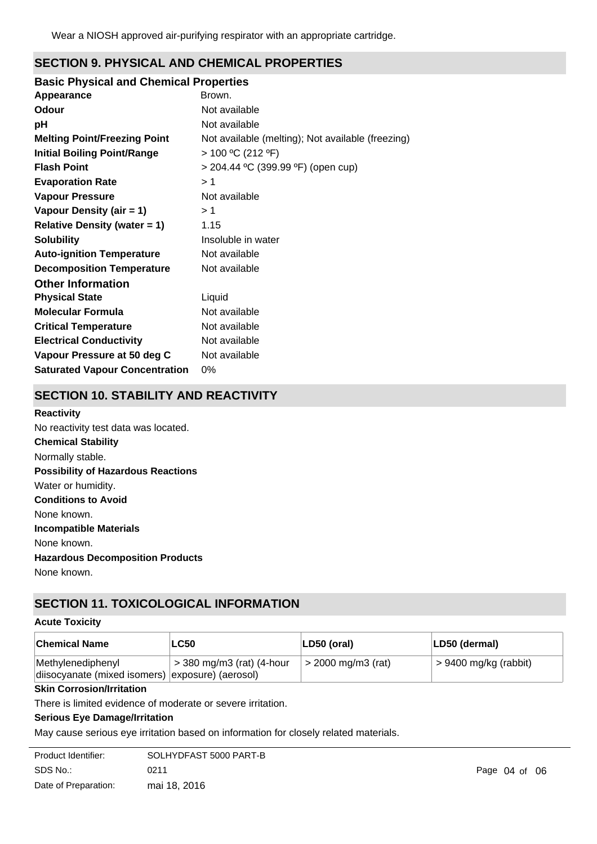# **SECTION 9. PHYSICAL AND CHEMICAL PROPERTIES**

### **Basic Physical and Chemical Properties**

| Appearance                            | Brown.                                            |
|---------------------------------------|---------------------------------------------------|
| Odour                                 | Not available                                     |
| рH                                    | Not available                                     |
| <b>Melting Point/Freezing Point</b>   | Not available (melting); Not available (freezing) |
| <b>Initial Boiling Point/Range</b>    | > 100 °C (212 °F)                                 |
| <b>Flash Point</b>                    | > 204.44 °C (399.99 °F) (open cup)                |
| <b>Evaporation Rate</b>               | >1                                                |
| <b>Vapour Pressure</b>                | Not available                                     |
| Vapour Density (air = 1)              | >1                                                |
| <b>Relative Density (water = 1)</b>   | 1.15                                              |
| <b>Solubility</b>                     | Insoluble in water                                |
| <b>Auto-ignition Temperature</b>      | Not available                                     |
| <b>Decomposition Temperature</b>      | Not available                                     |
| <b>Other Information</b>              |                                                   |
| <b>Physical State</b>                 | Liquid                                            |
| <b>Molecular Formula</b>              | Not available                                     |
| <b>Critical Temperature</b>           | Not available                                     |
| <b>Electrical Conductivity</b>        | Not available                                     |
| Vapour Pressure at 50 deg C           | Not available                                     |
| <b>Saturated Vapour Concentration</b> | 0%                                                |

# **SECTION 10. STABILITY AND REACTIVITY**

#### **Reactivity**

**Chemical Stability** Normally stable. **Conditions to Avoid** None known. **Incompatible Materials** None known. **Hazardous Decomposition Products** None known. **Possibility of Hazardous Reactions** Water or humidity. No reactivity test data was located.

# **SECTION 11. TOXICOLOGICAL INFORMATION**

### **Acute Toxicity**

| <b>Chemical Name</b>                                                    | <b>LC50</b>                          | LD50 (oral)          | LD50 (dermal)           |
|-------------------------------------------------------------------------|--------------------------------------|----------------------|-------------------------|
| Methylenediphenyl<br>diisocyanate (mixed isomers)   exposure) (aerosol) | $\epsilon$ > 380 mg/m3 (rat) (4-hour | $>$ 2000 mg/m3 (rat) | $> 9400$ mg/kg (rabbit) |

### **Skin Corrosion/Irritation**

There is limited evidence of moderate or severe irritation.

### **Serious Eye Damage/Irritation**

May cause serious eye irritation based on information for closely related materials.

| Product Identifier:  | SOLHYDFAST 5000 PART-B |
|----------------------|------------------------|
| SDS No.:             | 0211                   |
| Date of Preparation: | mai 18, 2016           |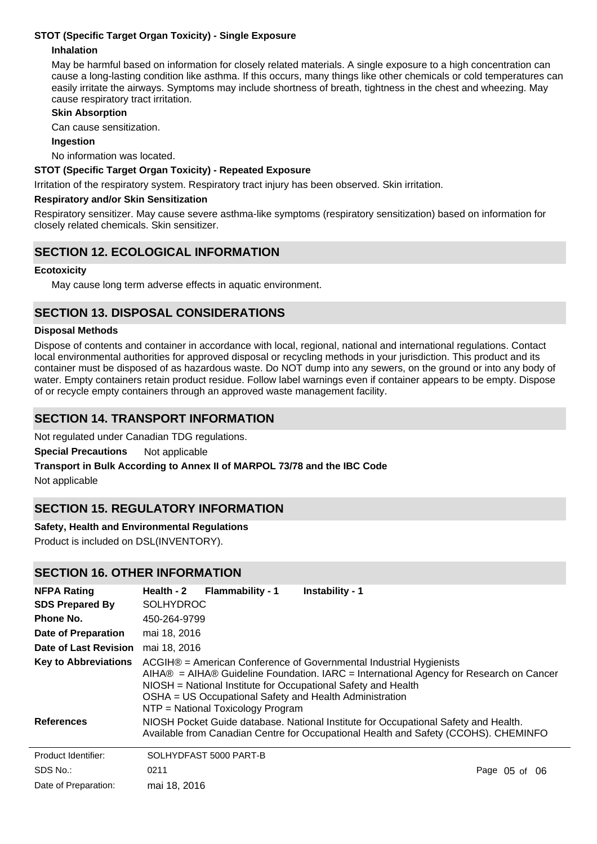### **STOT (Specific Target Organ Toxicity) - Single Exposure**

### **Inhalation**

May be harmful based on information for closely related materials. A single exposure to a high concentration can cause a long-lasting condition like asthma. If this occurs, many things like other chemicals or cold temperatures can easily irritate the airways. Symptoms may include shortness of breath, tightness in the chest and wheezing. May cause respiratory tract irritation.

#### **Skin Absorption**

Can cause sensitization.

#### **Ingestion**

No information was located.

#### **STOT (Specific Target Organ Toxicity) - Repeated Exposure**

Irritation of the respiratory system. Respiratory tract injury has been observed. Skin irritation.

#### **Respiratory and/or Skin Sensitization**

Respiratory sensitizer. May cause severe asthma-like symptoms (respiratory sensitization) based on information for closely related chemicals. Skin sensitizer.

# **SECTION 12. ECOLOGICAL INFORMATION**

#### **Ecotoxicity**

May cause long term adverse effects in aquatic environment.

# **SECTION 13. DISPOSAL CONSIDERATIONS**

#### **Disposal Methods**

Dispose of contents and container in accordance with local, regional, national and international regulations. Contact local environmental authorities for approved disposal or recycling methods in your jurisdiction. This product and its container must be disposed of as hazardous waste. Do NOT dump into any sewers, on the ground or into any body of water. Empty containers retain product residue. Follow label warnings even if container appears to be empty. Dispose of or recycle empty containers through an approved waste management facility.

# **SECTION 14. TRANSPORT INFORMATION**

Not regulated under Canadian TDG regulations.

**Special Precautions** Not applicable

### **Transport in Bulk According to Annex II of MARPOL 73/78 and the IBC Code**

Not applicable

# **SECTION 15. REGULATORY INFORMATION**

### **Safety, Health and Environmental Regulations**

Product is included on DSL(INVENTORY).

### **SECTION 16. OTHER INFORMATION**

| <b>NFPA Rating</b>           | Health - 2       | <b>Flammability - 1</b>           | Instability - 1                                                                                                                                                                                                                                                                          |               |
|------------------------------|------------------|-----------------------------------|------------------------------------------------------------------------------------------------------------------------------------------------------------------------------------------------------------------------------------------------------------------------------------------|---------------|
| <b>SDS Prepared By</b>       | <b>SOLHYDROC</b> |                                   |                                                                                                                                                                                                                                                                                          |               |
| Phone No.                    | 450-264-9799     |                                   |                                                                                                                                                                                                                                                                                          |               |
| <b>Date of Preparation</b>   | mai 18, 2016     |                                   |                                                                                                                                                                                                                                                                                          |               |
| <b>Date of Last Revision</b> | mai 18, 2016     |                                   |                                                                                                                                                                                                                                                                                          |               |
| <b>Key to Abbreviations</b>  |                  | NTP = National Toxicology Program | ACGIH® = American Conference of Governmental Industrial Hygienists<br>$AHA@ = AHA@$ Guideline Foundation. IARC = International Agency for Research on Cancer<br>NIOSH = National Institute for Occupational Safety and Health<br>OSHA = US Occupational Safety and Health Administration |               |
| <b>References</b>            |                  |                                   | NIOSH Pocket Guide database. National Institute for Occupational Safety and Health.<br>Available from Canadian Centre for Occupational Health and Safety (CCOHS). CHEMINFO                                                                                                               |               |
| Product Identifier:          |                  | SOLHYDFAST 5000 PART-B            |                                                                                                                                                                                                                                                                                          |               |
| SDS No.:                     | 0211             |                                   |                                                                                                                                                                                                                                                                                          | Page 05 of 06 |
| Date of Preparation:         | mai 18, 2016     |                                   |                                                                                                                                                                                                                                                                                          |               |